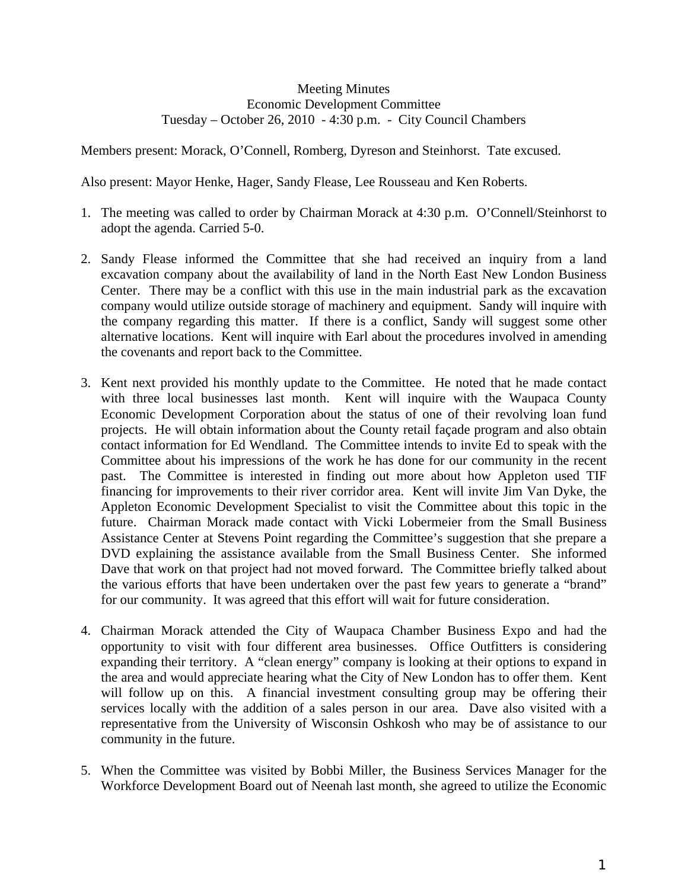## Meeting Minutes Economic Development Committee Tuesday – October 26, 2010 - 4:30 p.m. - City Council Chambers

Members present: Morack, O'Connell, Romberg, Dyreson and Steinhorst. Tate excused.

Also present: Mayor Henke, Hager, Sandy Flease, Lee Rousseau and Ken Roberts.

- 1. The meeting was called to order by Chairman Morack at 4:30 p.m. O'Connell/Steinhorst to adopt the agenda. Carried 5-0.
- 2. Sandy Flease informed the Committee that she had received an inquiry from a land excavation company about the availability of land in the North East New London Business Center. There may be a conflict with this use in the main industrial park as the excavation company would utilize outside storage of machinery and equipment. Sandy will inquire with the company regarding this matter. If there is a conflict, Sandy will suggest some other alternative locations. Kent will inquire with Earl about the procedures involved in amending the covenants and report back to the Committee.
- 3. Kent next provided his monthly update to the Committee. He noted that he made contact with three local businesses last month. Kent will inquire with the Waupaca County Economic Development Corporation about the status of one of their revolving loan fund projects. He will obtain information about the County retail façade program and also obtain contact information for Ed Wendland. The Committee intends to invite Ed to speak with the Committee about his impressions of the work he has done for our community in the recent past. The Committee is interested in finding out more about how Appleton used TIF financing for improvements to their river corridor area. Kent will invite Jim Van Dyke, the Appleton Economic Development Specialist to visit the Committee about this topic in the future. Chairman Morack made contact with Vicki Lobermeier from the Small Business Assistance Center at Stevens Point regarding the Committee's suggestion that she prepare a DVD explaining the assistance available from the Small Business Center. She informed Dave that work on that project had not moved forward. The Committee briefly talked about the various efforts that have been undertaken over the past few years to generate a "brand" for our community. It was agreed that this effort will wait for future consideration.
- 4. Chairman Morack attended the City of Waupaca Chamber Business Expo and had the opportunity to visit with four different area businesses. Office Outfitters is considering expanding their territory. A "clean energy" company is looking at their options to expand in the area and would appreciate hearing what the City of New London has to offer them. Kent will follow up on this. A financial investment consulting group may be offering their services locally with the addition of a sales person in our area. Dave also visited with a representative from the University of Wisconsin Oshkosh who may be of assistance to our community in the future.
- 5. When the Committee was visited by Bobbi Miller, the Business Services Manager for the Workforce Development Board out of Neenah last month, she agreed to utilize the Economic